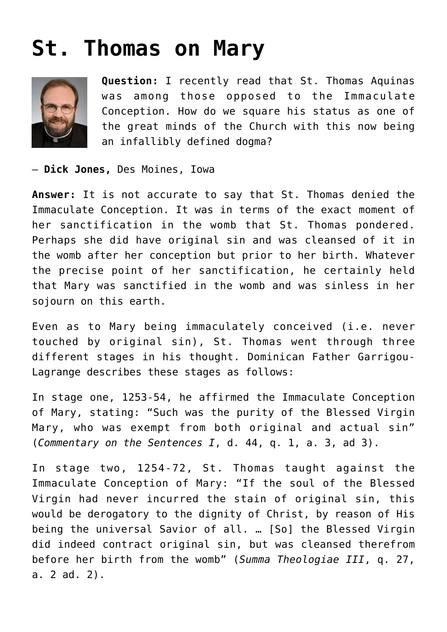## **[St. Thomas on Mary](https://www.osvnews.com/2018/07/08/st-thomas-on-mary/)**



**Question:** I recently read that St. Thomas Aquinas was among those opposed to the Immaculate Conception. How do we square his status as one of the great minds of the Church with this now being an infallibly defined dogma?

— **Dick Jones,** Des Moines, Iowa

**Answer:** It is not accurate to say that St. Thomas denied the Immaculate Conception. It was in terms of the exact moment of her sanctification in the womb that St. Thomas pondered. Perhaps she did have original sin and was cleansed of it in the womb after her conception but prior to her birth. Whatever the precise point of her sanctification, he certainly held that Mary was sanctified in the womb and was sinless in her sojourn on this earth.

Even as to Mary being immaculately conceived (i.e. never touched by original sin), St. Thomas went through three different stages in his thought. Dominican Father Garrigou-Lagrange describes these stages as follows:

In stage one, 1253-54, he affirmed the Immaculate Conception of Mary, stating: "Such was the purity of the Blessed Virgin Mary, who was exempt from both original and actual sin" (*Commentary on the Sentences I*, d. 44, q. 1, a. 3, ad 3).

In stage two, 1254-72, St. Thomas taught against the Immaculate Conception of Mary: "If the soul of the Blessed Virgin had never incurred the stain of original sin, this would be derogatory to the dignity of Christ, by reason of His being the universal Savior of all. … [So] the Blessed Virgin did indeed contract original sin, but was cleansed therefrom before her birth from the womb" (*Summa Theologiae III*, q. 27, a. 2 ad. 2).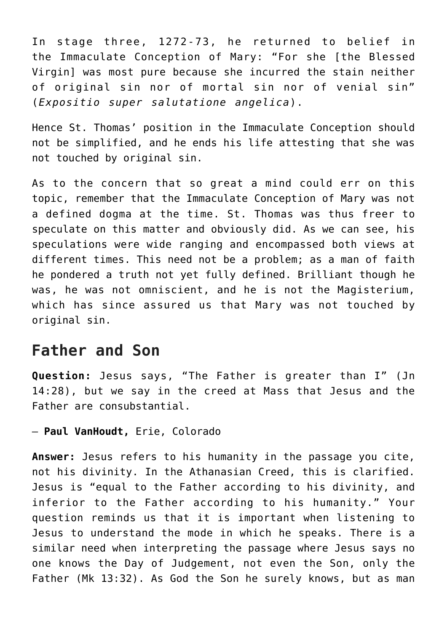In stage three, 1272-73, he returned to belief in the Immaculate Conception of Mary: "For she [the Blessed Virgin] was most pure because she incurred the stain neither of original sin nor of mortal sin nor of venial sin" (*Expositio super salutatione angelica*).

Hence St. Thomas' position in the Immaculate Conception should not be simplified, and he ends his life attesting that she was not touched by original sin.

As to the concern that so great a mind could err on this topic, remember that the Immaculate Conception of Mary was not a defined dogma at the time. St. Thomas was thus freer to speculate on this matter and obviously did. As we can see, his speculations were wide ranging and encompassed both views at different times. This need not be a problem; as a man of faith he pondered a truth not yet fully defined. Brilliant though he was, he was not omniscient, and he is not the Magisterium, which has since assured us that Mary was not touched by original sin.

## **Father and Son**

**Question:** Jesus says, "The Father is greater than I" (Jn 14:28), but we say in the creed at Mass that Jesus and the Father are consubstantial.

— **Paul VanHoudt,** Erie, Colorado

**Answer:** Jesus refers to his humanity in the passage you cite, not his divinity. In the Athanasian Creed, this is clarified. Jesus is "equal to the Father according to his divinity, and inferior to the Father according to his humanity." Your question reminds us that it is important when listening to Jesus to understand the mode in which he speaks. There is a similar need when interpreting the passage where Jesus says no one knows the Day of Judgement, not even the Son, only the Father (Mk 13:32). As God the Son he surely knows, but as man